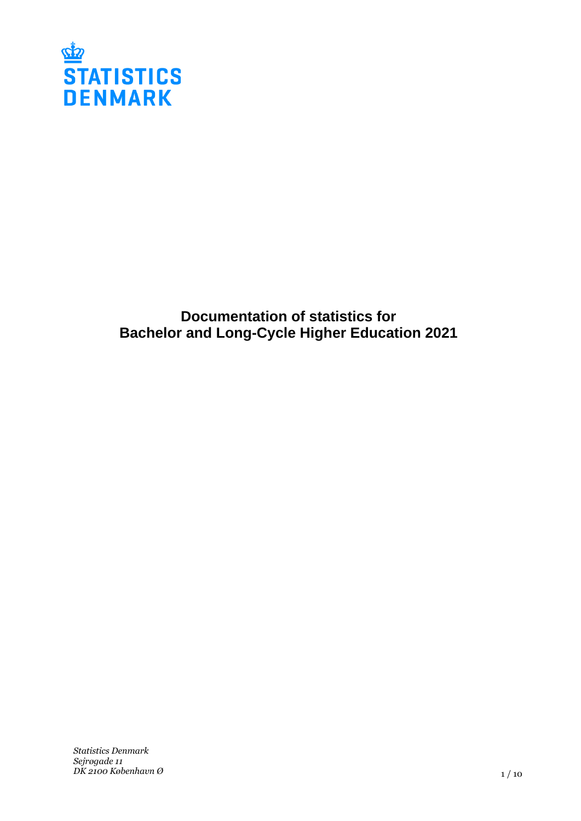

# **Documentation of statistics for Bachelor and Long-Cycle Higher Education 2021**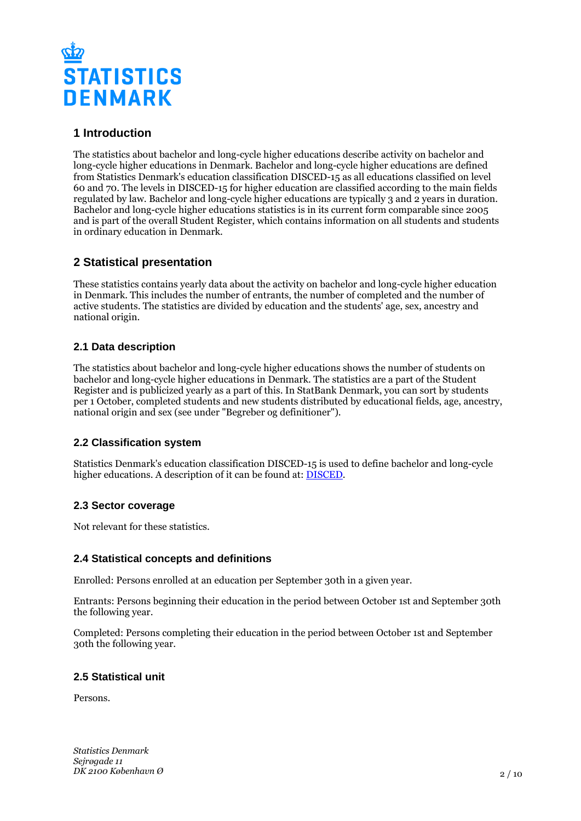

# **1 Introduction**

The statistics about bachelor and long-cycle higher educations describe activity on bachelor and long-cycle higher educations in Denmark. Bachelor and long-cycle higher educations are defined from Statistics Denmark's education classification DISCED-15 as all educations classified on level 60 and 70. The levels in DISCED-15 for higher education are classified according to the main fields regulated by law. Bachelor and long-cycle higher educations are typically 3 and 2 years in duration. Bachelor and long-cycle higher educations statistics is in its current form comparable since 2005 and is part of the overall Student Register, which contains information on all students and students in ordinary education in Denmark.

# **2 Statistical presentation**

These statistics contains yearly data about the activity on bachelor and long-cycle higher education in Denmark. This includes the number of entrants, the number of completed and the number of active students. The statistics are divided by education and the students' age, sex, ancestry and national origin.

### **2.1 Data description**

The statistics about bachelor and long-cycle higher educations shows the number of students on bachelor and long-cycle higher educations in Denmark. The statistics are a part of the Student Register and is publicized yearly as a part of this. In StatBank Denmark, you can sort by students per 1 October, completed students and new students distributed by educational fields, age, ancestry, national origin and sex (see under "Begreber og definitioner").

### **2.2 Classification system**

Statistics Denmark's education classification DISCED-15 is used to define bachelor and long-cycle higher educations. A description of it can be found at: [DISCED](https://www.dst.dk/en/Statistik/dokumentation/nomenklaturer/disced15-audd).

# **2.3 Sector coverage**

Not relevant for these statistics.

### **2.4 Statistical concepts and definitions**

Enrolled: Persons enrolled at an education per September 30th in a given year.

Entrants: Persons beginning their education in the period between October 1st and September 30th the following year.

Completed: Persons completing their education in the period between October 1st and September 30th the following year.

# **2.5 Statistical unit**

Persons.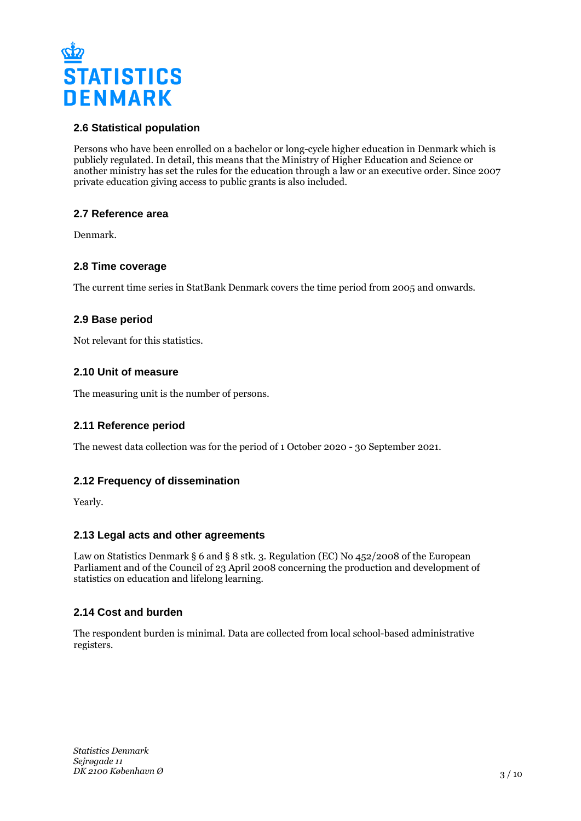

# **2.6 Statistical population**

Persons who have been enrolled on a bachelor or long-cycle higher education in Denmark which is publicly regulated. In detail, this means that the Ministry of Higher Education and Science or another ministry has set the rules for the education through a law or an executive order. Since 2007 private education giving access to public grants is also included.

### **2.7 Reference area**

Denmark.

# **2.8 Time coverage**

The current time series in StatBank Denmark covers the time period from 2005 and onwards.

# **2.9 Base period**

Not relevant for this statistics.

### **2.10 Unit of measure**

The measuring unit is the number of persons.

# **2.11 Reference period**

The newest data collection was for the period of 1 October 2020 - 30 September 2021.

# **2.12 Frequency of dissemination**

Yearly.

### **2.13 Legal acts and other agreements**

Law on Statistics Denmark § 6 and § 8 stk. 3. Regulation (EC) No 452/2008 of the European Parliament and of the Council of 23 April 2008 concerning the production and development of statistics on education and lifelong learning.

# **2.14 Cost and burden**

The respondent burden is minimal. Data are collected from local school-based administrative registers.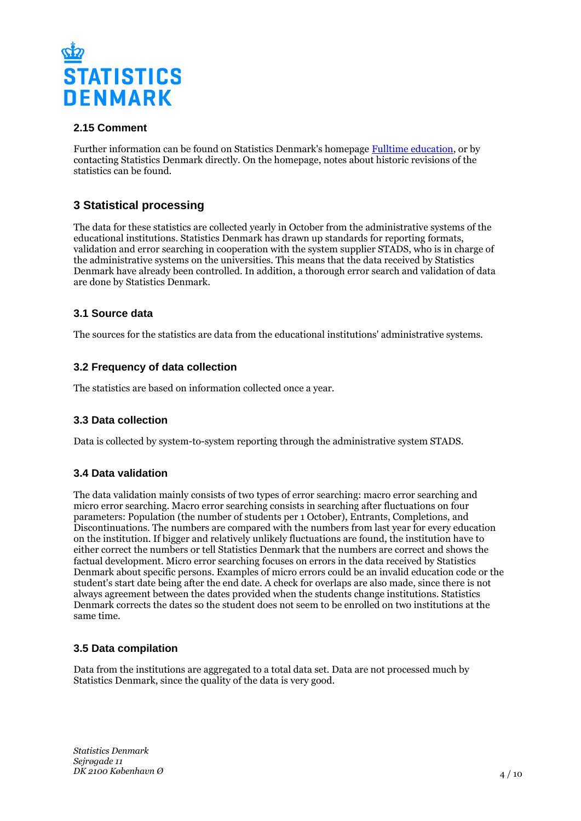

# **2.15 Comment**

Further information can be found on Statistics Denmark's homepage [Fulltime education,](https://www.dst.dk/en/Statistik/emner/uddannelse-og-viden/fuldtidsuddannelser) or by contacting Statistics Denmark directly. On the homepage, notes about historic revisions of the statistics can be found.

# **3 Statistical processing**

The data for these statistics are collected yearly in October from the administrative systems of the educational institutions. Statistics Denmark has drawn up standards for reporting formats, validation and error searching in cooperation with the system supplier STADS, who is in charge of the administrative systems on the universities. This means that the data received by Statistics Denmark have already been controlled. In addition, a thorough error search and validation of data are done by Statistics Denmark.

# **3.1 Source data**

The sources for the statistics are data from the educational institutions' administrative systems.

# **3.2 Frequency of data collection**

The statistics are based on information collected once a year.

# **3.3 Data collection**

Data is collected by system-to-system reporting through the administrative system STADS.

# **3.4 Data validation**

The data validation mainly consists of two types of error searching: macro error searching and micro error searching. Macro error searching consists in searching after fluctuations on four parameters: Population (the number of students per 1 October), Entrants, Completions, and Discontinuations. The numbers are compared with the numbers from last year for every education on the institution. If bigger and relatively unlikely fluctuations are found, the institution have to either correct the numbers or tell Statistics Denmark that the numbers are correct and shows the factual development. Micro error searching focuses on errors in the data received by Statistics Denmark about specific persons. Examples of micro errors could be an invalid education code or the student's start date being after the end date. A check for overlaps are also made, since there is not always agreement between the dates provided when the students change institutions. Statistics Denmark corrects the dates so the student does not seem to be enrolled on two institutions at the same time.

# **3.5 Data compilation**

Data from the institutions are aggregated to a total data set. Data are not processed much by Statistics Denmark, since the quality of the data is very good.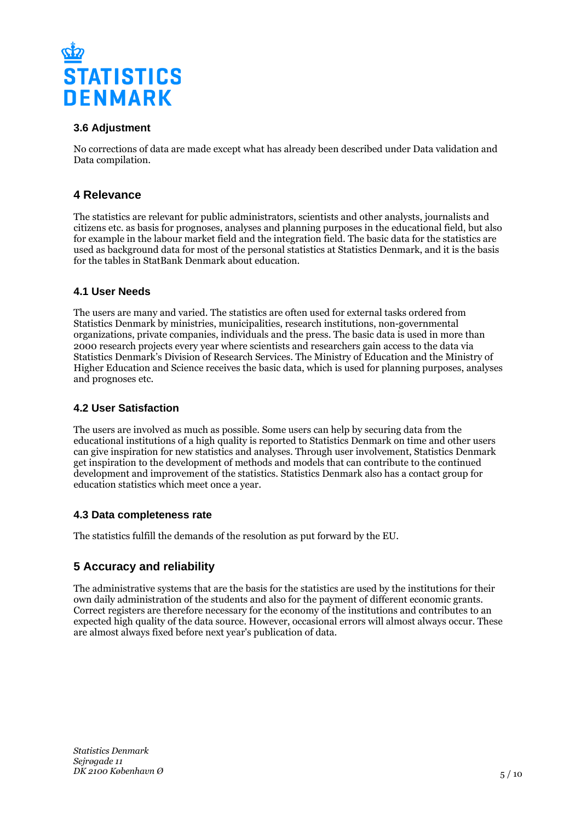

# **3.6 Adjustment**

No corrections of data are made except what has already been described under Data validation and Data compilation.

# **4 Relevance**

The statistics are relevant for public administrators, scientists and other analysts, journalists and citizens etc. as basis for prognoses, analyses and planning purposes in the educational field, but also for example in the labour market field and the integration field. The basic data for the statistics are used as background data for most of the personal statistics at Statistics Denmark, and it is the basis for the tables in StatBank Denmark about education.

# **4.1 User Needs**

The users are many and varied. The statistics are often used for external tasks ordered from Statistics Denmark by ministries, municipalities, research institutions, non-governmental organizations, private companies, individuals and the press. The basic data is used in more than 2000 research projects every year where scientists and researchers gain access to the data via Statistics Denmark's Division of Research Services. The Ministry of Education and the Ministry of Higher Education and Science receives the basic data, which is used for planning purposes, analyses and prognoses etc.

# **4.2 User Satisfaction**

The users are involved as much as possible. Some users can help by securing data from the educational institutions of a high quality is reported to Statistics Denmark on time and other users can give inspiration for new statistics and analyses. Through user involvement, Statistics Denmark get inspiration to the development of methods and models that can contribute to the continued development and improvement of the statistics. Statistics Denmark also has a contact group for education statistics which meet once a year.

### **4.3 Data completeness rate**

The statistics fulfill the demands of the resolution as put forward by the EU.

# **5 Accuracy and reliability**

The administrative systems that are the basis for the statistics are used by the institutions for their own daily administration of the students and also for the payment of different economic grants. Correct registers are therefore necessary for the economy of the institutions and contributes to an expected high quality of the data source. However, occasional errors will almost always occur. These are almost always fixed before next year's publication of data.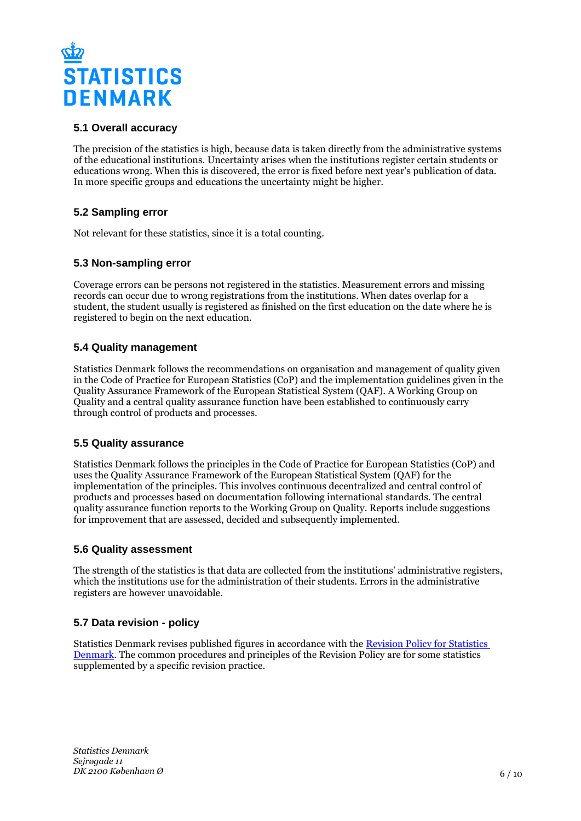

# **5.1 Overall accuracy**

The precision of the statistics is high, because data is taken directly from the administrative systems of the educational institutions. Uncertainty arises when the institutions register certain students or educations wrong. When this is discovered, the error is fixed before next year's publication of data. In more specific groups and educations the uncertainty might be higher.

# **5.2 Sampling error**

Not relevant for these statistics, since it is a total counting.

# **5.3 Non-sampling error**

Coverage errors can be persons not registered in the statistics. Measurement errors and missing records can occur due to wrong registrations from the institutions. When dates overlap for a student, the student usually is registered as finished on the first education on the date where he is registered to begin on the next education.

# **5.4 Quality management**

Statistics Denmark follows the recommendations on organisation and management of quality given in the Code of Practice for European Statistics (CoP) and the implementation guidelines given in the Quality Assurance Framework of the European Statistical System (QAF). A Working Group on Quality and a central quality assurance function have been established to continuously carry through control of products and processes.

### **5.5 Quality assurance**

Statistics Denmark follows the principles in the Code of Practice for European Statistics (CoP) and uses the Quality Assurance Framework of the European Statistical System (QAF) for the implementation of the principles. This involves continuous decentralized and central control of products and processes based on documentation following international standards. The central quality assurance function reports to the Working Group on Quality. Reports include suggestions for improvement that are assessed, decided and subsequently implemented.

### **5.6 Quality assessment**

The strength of the statistics is that data are collected from the institutions' administrative registers, which the institutions use for the administration of their students. Errors in the administrative registers are however unavoidable.

# **5.7 Data revision - policy**

Statistics Denmark revises published figures in accordance with the [Revision Policy for Statistics](https://www.dst.dk/en/OmDS/strategi-og-kvalitet/revisionspolitik.aspx)  [Denmark.](https://www.dst.dk/en/OmDS/strategi-og-kvalitet/revisionspolitik.aspx) The common procedures and principles of the Revision Policy are for some statistics supplemented by a specific revision practice.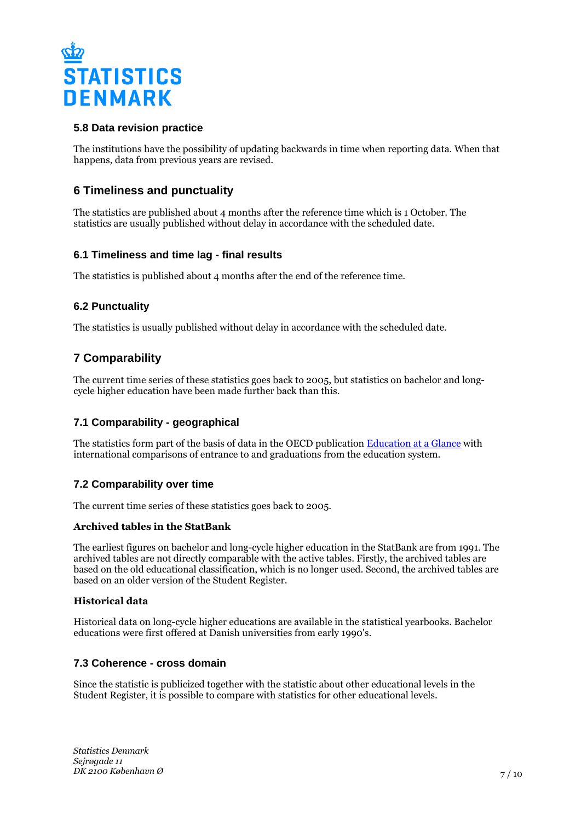

# **5.8 Data revision practice**

The institutions have the possibility of updating backwards in time when reporting data. When that happens, data from previous years are revised.

# **6 Timeliness and punctuality**

The statistics are published about 4 months after the reference time which is 1 October. The statistics are usually published without delay in accordance with the scheduled date.

# **6.1 Timeliness and time lag - final results**

The statistics is published about 4 months after the end of the reference time.

# **6.2 Punctuality**

The statistics is usually published without delay in accordance with the scheduled date.

# **7 Comparability**

The current time series of these statistics goes back to 2005, but statistics on bachelor and longcycle higher education have been made further back than this.

# **7.1 Comparability - geographical**

The statistics form part of the basis of data in the OECD publication [Education at a Glance](https://www.oecd.org/education/education-at-a-glance/) with international comparisons of entrance to and graduations from the education system.

# **7.2 Comparability over time**

The current time series of these statistics goes back to 2005.

### **Archived tables in the StatBank**

The earliest figures on bachelor and long-cycle higher education in the StatBank are from 1991. The archived tables are not directly comparable with the active tables. Firstly, the archived tables are based on the old educational classification, which is no longer used. Second, the archived tables are based on an older version of the Student Register.

### **Historical data**

Historical data on long-cycle higher educations are available in the statistical yearbooks. Bachelor educations were first offered at Danish universities from early 1990's.

### **7.3 Coherence - cross domain**

Since the statistic is publicized together with the statistic about other educational levels in the Student Register, it is possible to compare with statistics for other educational levels.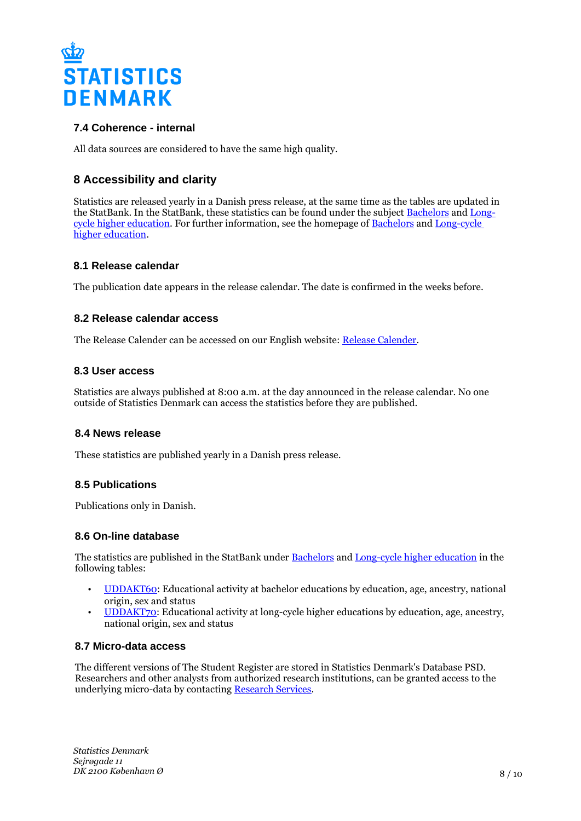

# **7.4 Coherence - internal**

All data sources are considered to have the same high quality.

# **8 Accessibility and clarity**

Statistics are released yearly in a Danish press release, at the same time as the tables are updated in the StatBank. In the StatBank, these statistics can be found under the subject [Bachelors](https://www.statbank.dk/10135) and [Long](https://www.statbank.dk/10136)[cycle higher education](https://www.statbank.dk/10136). For further information, see the homepage of [Bachelors](https://www.dst.dk/en/Statistik/emner/uddannelse-og-viden/fuldtidsuddannelser/bacheloruddannelser) and [Long-cycle](https://www.dst.dk/en/Statistik/emner/uddannelse-og-viden/fuldtidsuddannelser/lange-videregaaende-uddannelser)  [higher education](https://www.dst.dk/en/Statistik/emner/uddannelse-og-viden/fuldtidsuddannelser/lange-videregaaende-uddannelser).

### **8.1 Release calendar**

The publication date appears in the release calendar. The date is confirmed in the weeks before.

### **8.2 Release calendar access**

The Release Calender can be accessed on our English website: [Release Calender.](https://www.dst.dk/en/Statistik/offentliggoerelser.aspx)

### **8.3 User access**

Statistics are always published at 8:00 a.m. at the day announced in the release calendar. No one outside of Statistics Denmark can access the statistics before they are published.

### **8.4 News release**

These statistics are published yearly in a Danish press release.

# **8.5 Publications**

Publications only in Danish.

### **8.6 On-line database**

The statistics are published in the StatBank under [Bachelors](https://www.statbank.dk/10135) and [Long-cycle higher education](https://www.statbank.dk/10136) in the following tables:

- [UDDAKT60](http://www.statbank.dk/UDDAKT60): Educational activity at bachelor educations by education, age, ancestry, national origin, sex and status
- [UDDAKT70](http://www.statbank.dk/UDDAKT70): Educational activity at long-cycle higher educations by education, age, ancestry, national origin, sex and status

### **8.7 Micro-data access**

The different versions of The Student Register are stored in Statistics Denmark's Database PSD. Researchers and other analysts from authorized research institutions, can be granted access to the underlying micro-data by contacting [Research Services](https://www.dst.dk/en/TilSalg/Forskningsservice).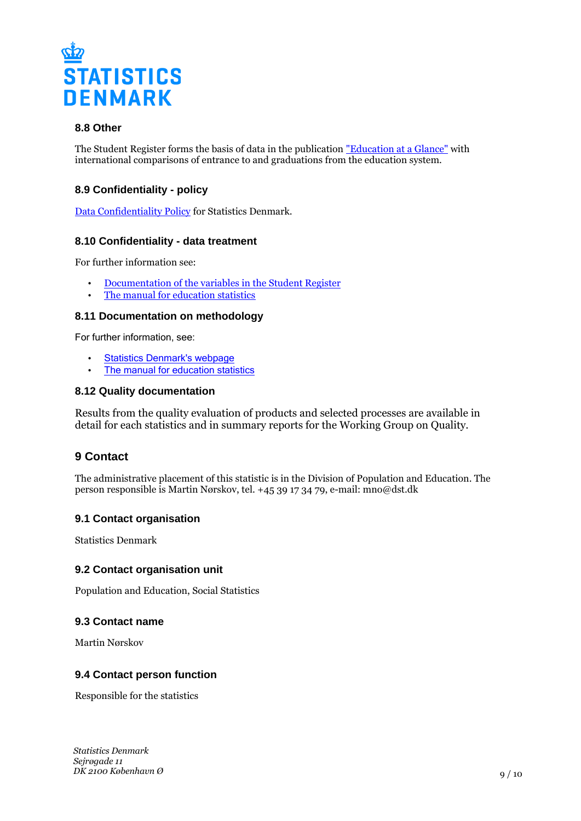

### **8.8 Other**

The Student Register forms the basis of data in the publication ["Education at a Glance"](https://www.oecd.org/education/education-at-a-glance/) with international comparisons of entrance to and graduations from the education system.

### **8.9 Confidentiality - policy**

[Data Confidentiality Policy](https://www.dst.dk/ext/292786082/0/formid/Datafortrolighedspolitik-i-Danmarks-Statistik--pdf) for Statistics Denmark.

### **8.10 Confidentiality - data treatment**

For further information see:

- [Documentation of the variables in the Student Register](https://www.dst.dk/da/Statistik/dokumentation/Times/uddannelsesdata/elevregistret)
- [The manual for education statistics](https://www.dst.dk/ext/uddannelse/Uddannelsesmanual--pdf)

#### **8.11 Documentation on methodology**

For further information, see:

- [Statistics Denmark's webpage](https://www.dst.dk/da/Statistik/dokumentation/Times/uddannelsesdata/elevregistret)
- [The manual for education statistics](https://www.dst.dk/da/Statistik/emner/uddannelse-og-viden/fuldtidsuddannelser?tab=dok)

#### **8.12 Quality documentation**

Results from the quality evaluation of products and selected processes are available in detail for each statistics and in summary reports for the Working Group on Quality.

# **9 Contact**

The administrative placement of this statistic is in the Division of Population and Education. The person responsible is Martin Nørskov, tel. +45 39 17 34 79, e-mail: mno@dst.dk

### **9.1 Contact organisation**

Statistics Denmark

### **9.2 Contact organisation unit**

Population and Education, Social Statistics

### **9.3 Contact name**

Martin Nørskov

### **9.4 Contact person function**

Responsible for the statistics

*Statistics Denmark Sejrøgade 11 DK 2100 København Ø*